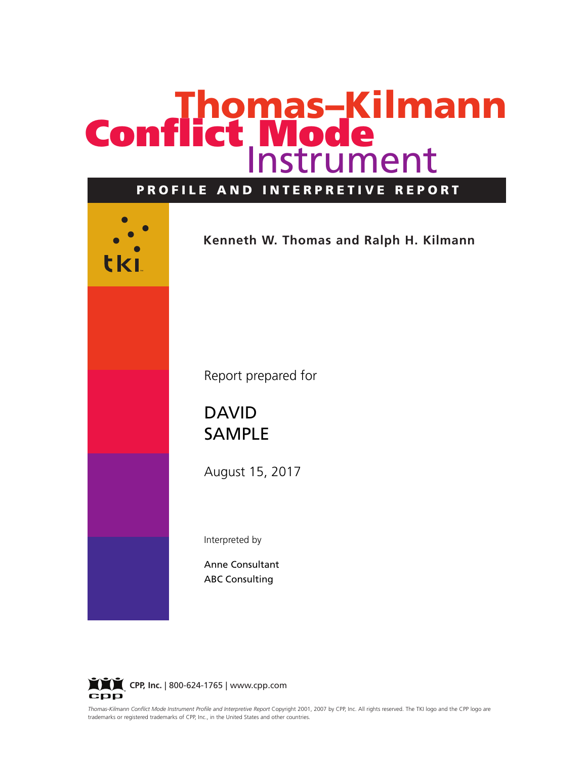# **Thomas–Kilmann Instrument Conflict Mode**

# PROFILE AND INTERPRETIVE REPORT



**Kenneth W. Thomas and Ralph H. Kilmann**

Report prepared for

# DAVID SAMPLE

August 15, 2017

Interpreted by

Anne Consultant ABC Consulting



*Thomas-Kilmann Conflict Mode Instrument Profile and Interpretive Report* Copyright 2001, 2007 by CPP, Inc. All rights reserved. The TKI logo and the CPP logo are trademarks or registered trademarks of CPP, Inc., in the United States and other countries.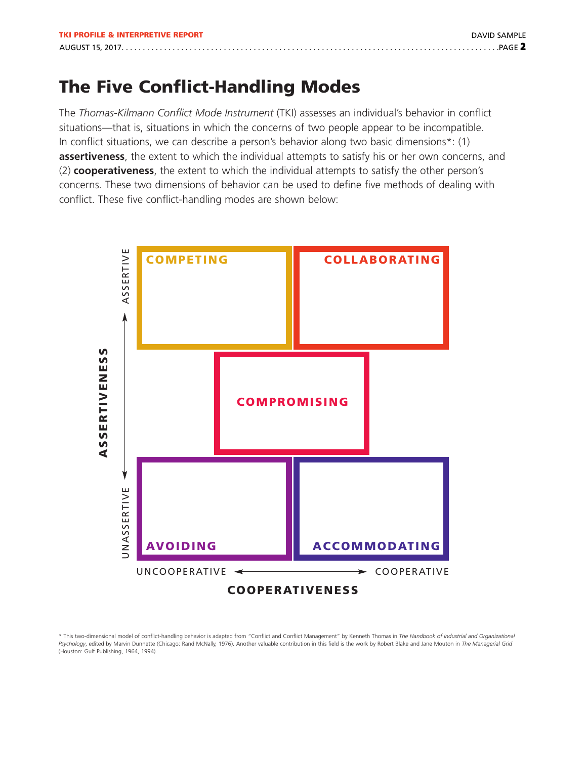# **The Five Conflict-Handling Modes**

The *Thomas-Kilmann Conflict Mode Instrument* (TKI) assesses an individual's behavior in conflict situations—that is, situations in which the concerns of two people appear to be incompatible. In conflict situations, we can describe a person's behavior along two basic dimensions\*: (1) **assertiveness**, the extent to which the individual attempts to satisfy his or her own concerns, and (2) **cooperativeness**, the extent to which the individual attempts to satisfy the other person's concerns. These two dimensions of behavior can be used to define five methods of dealing with conflict. These five conflict-handling modes are shown below:



\* This two-dimensional model of conflict-handling behavior is adapted from "Conflict and Conflict Management" by Kenneth Thomas in *The Handbook of Industrial and Organizational Psychology*, edited by Marvin Dunnette (Chicago: Rand McNally, 1976). Another valuable contribution in this field is the work by Robert Blake and Jane Mouton in *The Managerial Grid* (Houston: Gulf Publishing, 1964, 1994).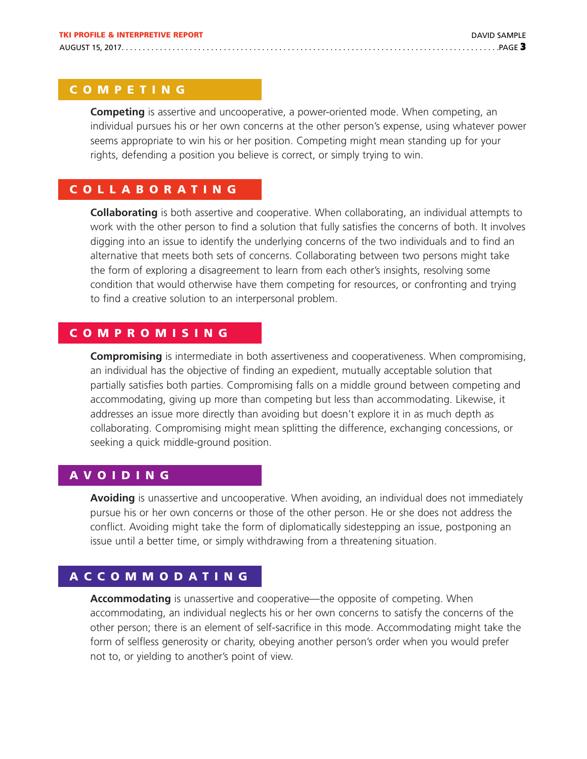### **C O M P E T I N G**

**Competing** is assertive and uncooperative, a power-oriented mode. When competing, an individual pursues his or her own concerns at the other person's expense, using whatever power seems appropriate to win his or her position. Competing might mean standing up for your rights, defending a position you believe is correct, or simply trying to win.

# **C O L L A B O R A T I N G**

**Collaborating** is both assertive and cooperative. When collaborating, an individual attempts to work with the other person to find a solution that fully satisfies the concerns of both. It involves digging into an issue to identify the underlying concerns of the two individuals and to find an alternative that meets both sets of concerns. Collaborating between two persons might take the form of exploring a disagreement to learn from each other's insights, resolving some condition that would otherwise have them competing for resources, or confronting and trying to find a creative solution to an interpersonal problem.

# **C O M P R O M I S I N G**

**Compromising** is intermediate in both assertiveness and cooperativeness. When compromising, an individual has the objective of finding an expedient, mutually acceptable solution that partially satisfies both parties. Compromising falls on a middle ground between competing and accommodating, giving up more than competing but less than accommodating. Likewise, it addresses an issue more directly than avoiding but doesn't explore it in as much depth as collaborating. Compromising might mean splitting the difference, exchanging concessions, or seeking a quick middle-ground position.

# **A V O I D I N G**

**Avoiding** is unassertive and uncooperative. When avoiding, an individual does not immediately pursue his or her own concerns or those of the other person. He or she does not address the conflict. Avoiding might take the form of diplomatically sidestepping an issue, postponing an issue until a better time, or simply withdrawing from a threatening situation.

# **A C C O M M O D A T I N G**

**Accommodating** is unassertive and cooperative—the opposite of competing. When accommodating, an individual neglects his or her own concerns to satisfy the concerns of the other person; there is an element of self-sacrifice in this mode. Accommodating might take the form of selfless generosity or charity, obeying another person's order when you would prefer not to, or yielding to another's point of view.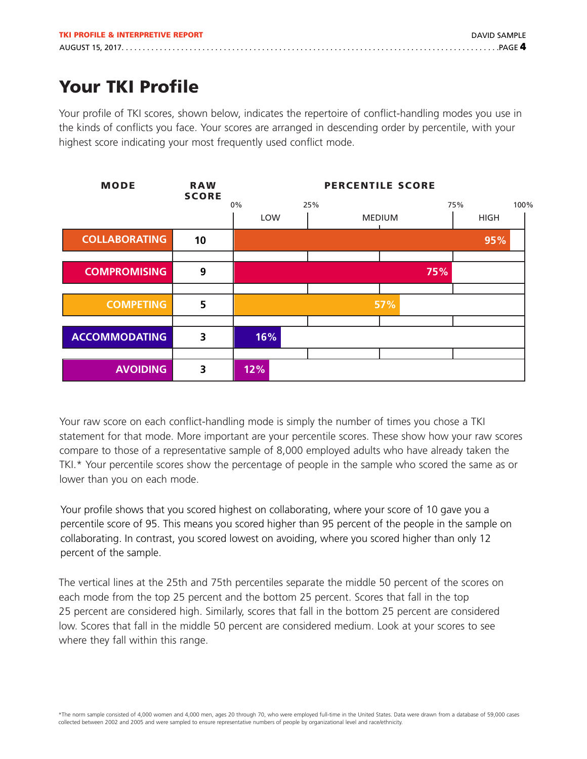# **Your TKI Profile**

Your profile of TKI scores, shown below, indicates the repertoire of conflict-handling modes you use in the kinds of conflicts you face. Your scores are arranged in descending order by percentile, with your highest score indicating your most frequently used conflict mode.



Your raw score on each conflict-handling mode is simply the number of times you chose a TKI statement for that mode. More important are your percentile scores. These show how your raw scores compare to those of a representative sample of 8,000 employed adults who have already taken the TKI.\* Your percentile scores show the percentage of people in the sample who scored the same as or lower than you on each mode.

Your profile shows that you scored highest on collaborating, where your score of 10 gave you a percentile score of 95. This means you scored higher than 95 percent of the people in the sample on collaborating. In contrast, you scored lowest on avoiding, where you scored higher than only 12 percent of the sample.

The vertical lines at the 25th and 75th percentiles separate the middle 50 percent of the scores on each mode from the top 25 percent and the bottom 25 percent. Scores that fall in the top 25 percent are considered high. Similarly, scores that fall in the bottom 25 percent are considered low. Scores that fall in the middle 50 percent are considered medium. Look at your scores to see where they fall within this range.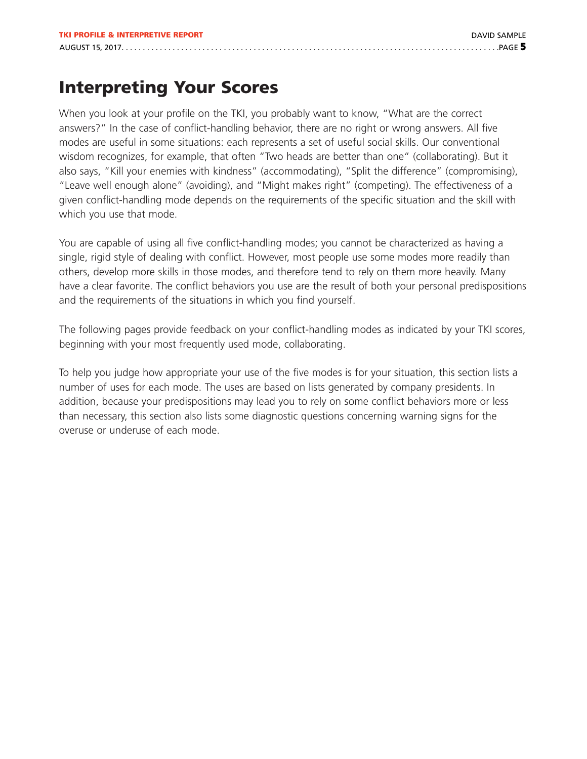# **Interpreting Your Scores**

When you look at your profile on the TKI, you probably want to know, "What are the correct answers?" In the case of conflict-handling behavior, there are no right or wrong answers. All five modes are useful in some situations: each represents a set of useful social skills. Our conventional wisdom recognizes, for example, that often "Two heads are better than one" (collaborating). But it also says, "Kill your enemies with kindness" (accommodating), "Split the difference" (compromising), "Leave well enough alone" (avoiding), and "Might makes right" (competing). The effectiveness of a given conflict-handling mode depends on the requirements of the specific situation and the skill with which you use that mode.

You are capable of using all five conflict-handling modes; you cannot be characterized as having a single, rigid style of dealing with conflict. However, most people use some modes more readily than others, develop more skills in those modes, and therefore tend to rely on them more heavily. Many have a clear favorite. The conflict behaviors you use are the result of both your personal predispositions and the requirements of the situations in which you find yourself.

The following pages provide feedback on your conflict-handling modes as indicated by your TKI scores, beginning with your most frequently used mode, collaborating.

To help you judge how appropriate your use of the five modes is for your situation, this section lists a number of uses for each mode. The uses are based on lists generated by company presidents. In addition, because your predispositions may lead you to rely on some conflict behaviors more or less than necessary, this section also lists some diagnostic questions concerning warning signs for the overuse or underuse of each mode.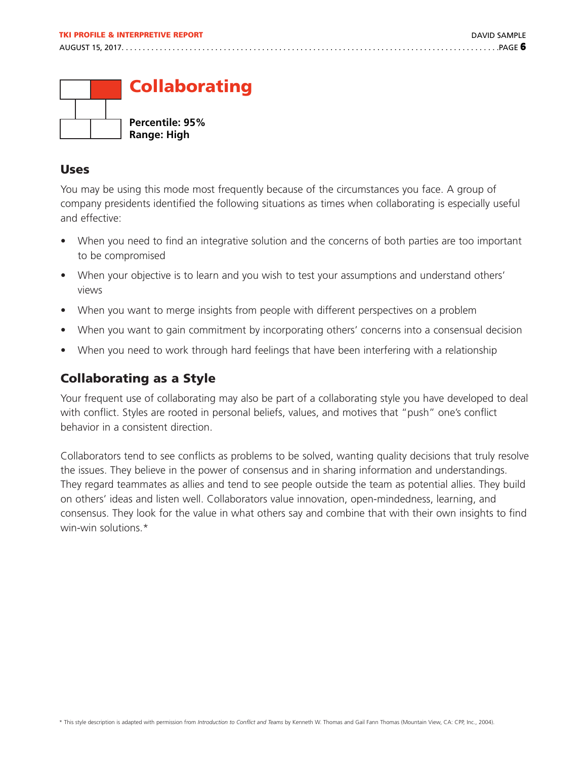

### **Uses**

You may be using this mode most frequently because of the circumstances you face. A group of company presidents identified the following situations as times when collaborating is especially useful and effective:

- When you need to find an integrative solution and the concerns of both parties are too important to be compromised
- When your objective is to learn and you wish to test your assumptions and understand others' views
- When you want to merge insights from people with different perspectives on a problem
- When you want to gain commitment by incorporating others' concerns into a consensual decision
- When you need to work through hard feelings that have been interfering with a relationship

# **Collaborating as a Style**

Your frequent use of collaborating may also be part of a collaborating style you have developed to deal with conflict. Styles are rooted in personal beliefs, values, and motives that "push" one's conflict behavior in a consistent direction.

Collaborators tend to see conflicts as problems to be solved, wanting quality decisions that truly resolve the issues. They believe in the power of consensus and in sharing information and understandings. They regard teammates as allies and tend to see people outside the team as potential allies. They build on others' ideas and listen well. Collaborators value innovation, open-mindedness, learning, and consensus. They look for the value in what others say and combine that with their own insights to find win-win solutions.\*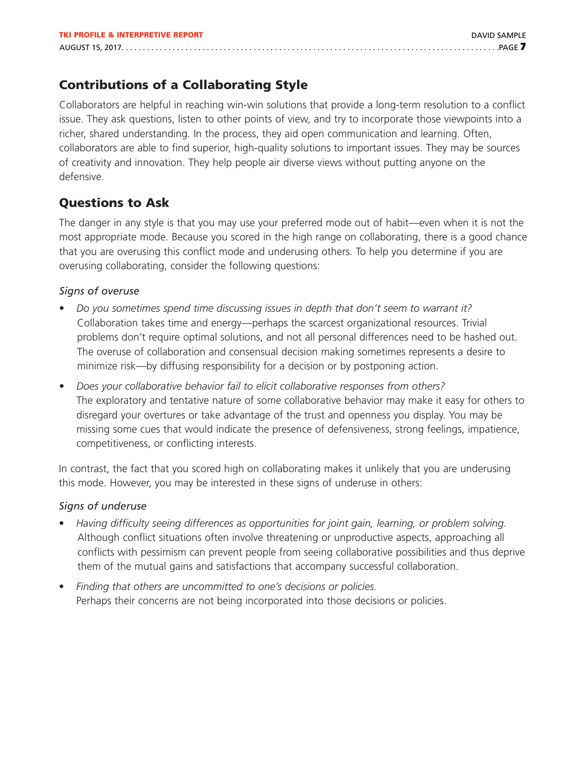# **Contributions of a Collaborating Style**

Collaborators are helpful in reaching win-win solutions that provide a long-term resolution to a conflict issue. They ask questions, listen to other points of view, and try to incorporate those viewpoints into a richer, shared understanding. In the process, they aid open communication and learning. Often, collaborators are able to find superior, high-quality solutions to important issues. They may be sources of creativity and innovation. They help people air diverse views without putting anyone on the defensive.

# **Questions to Ask**

The danger in any style is that you may use your preferred mode out of habit—even when it is not the most appropriate mode. Because you scored in the high range on collaborating, there is a good chance that you are overusing this conflict mode and underusing others. To help you determine if you are overusing collaborating, consider the following questions:

# *Signs of overuse*

- *Do you sometimes spend time discussing issues in depth that don't seem to warrant it?* Collaboration takes time and energy—perhaps the scarcest organizational resources. Trivial problems don't require optimal solutions, and not all personal differences need to be hashed out. The overuse of collaboration and consensual decision making sometimes represents a desire to minimize risk—by diffusing responsibility for a decision or by postponing action.
- *Does your collaborative behavior fail to elicit collaborative responses from others?* The exploratory and tentative nature of some collaborative behavior may make it easy for others to disregard your overtures or take advantage of the trust and openness you display. You may be missing some cues that would indicate the presence of defensiveness, strong feelings, impatience, competitiveness, or conflicting interests.

In contrast, the fact that you scored high on collaborating makes it unlikely that you are underusing this mode. However, you may be interested in these signs of underuse in others:

# *Signs of underuse*

- *Having difficulty seeing differences as opportunities for joint gain, learning, or problem solving.* Although conflict situations often involve threatening or unproductive aspects, approaching all conflicts with pessimism can prevent people from seeing collaborative possibilities and thus deprive them of the mutual gains and satisfactions that accompany successful collaboration.
- *Finding that others are uncommitted to one's decisions or policies.* Perhaps their concerns are not being incorporated into those decisions or policies.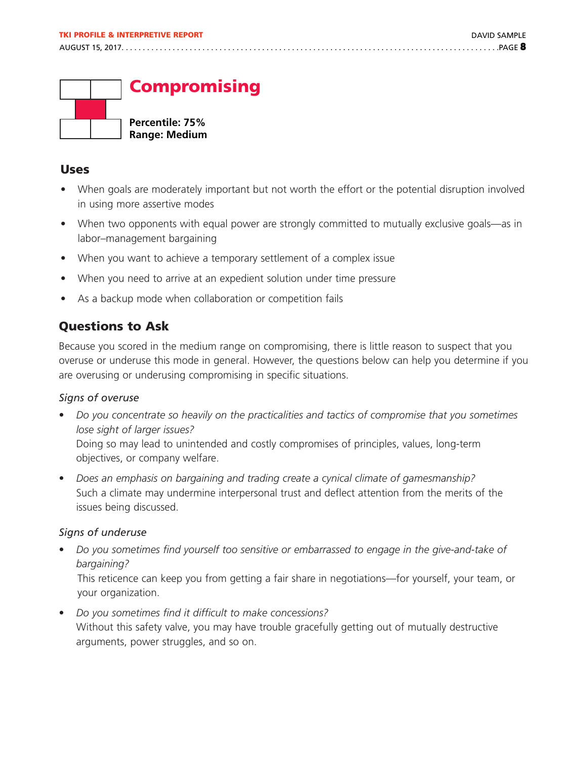# **Percentile: 75% Range: Medium Compromising**

### **Uses**

- When goals are moderately important but not worth the effort or the potential disruption involved in using more assertive modes
- When two opponents with equal power are strongly committed to mutually exclusive goals—as in labor–management bargaining
- When you want to achieve a temporary settlement of a complex issue
- When you need to arrive at an expedient solution under time pressure
- As a backup mode when collaboration or competition fails

# **Questions to Ask**

Because you scored in the medium range on compromising, there is little reason to suspect that you overuse or underuse this mode in general. However, the questions below can help you determine if you are overusing or underusing compromising in specific situations.

### *Signs of overuse*

- *Do you concentrate so heavily on the practicalities and tactics of compromise that you sometimes lose sight of larger issues?* Doing so may lead to unintended and costly compromises of principles, values, long-term objectives, or company welfare.
- *Does an emphasis on bargaining and trading create a cynical climate of gamesmanship?* Such a climate may undermine interpersonal trust and deflect attention from the merits of the issues being discussed.

### *Signs of underuse*

• *Do you sometimes find yourself too sensitive or embarrassed to engage in the give-and-take of bargaining?*

This reticence can keep you from getting a fair share in negotiations—for yourself, your team, or your organization.

• *Do you sometimes find it difficult to make concessions?* Without this safety valve, you may have trouble gracefully getting out of mutually destructive arguments, power struggles, and so on.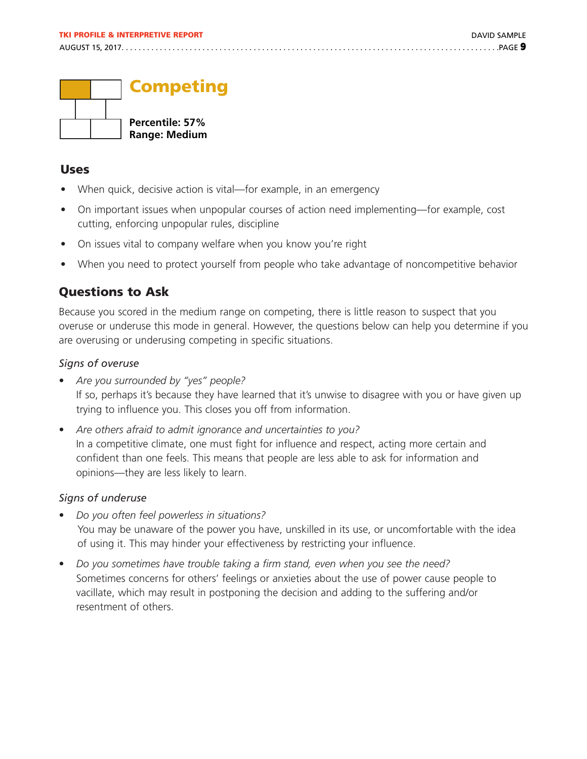|  |  | <b>Competing</b>                        |
|--|--|-----------------------------------------|
|  |  |                                         |
|  |  | Percentile: 57%<br><b>Range: Medium</b> |

### **Uses**

- When quick, decisive action is vital—for example, in an emergency
- On important issues when unpopular courses of action need implementing—for example, cost cutting, enforcing unpopular rules, discipline
- On issues vital to company welfare when you know you're right
- When you need to protect yourself from people who take advantage of noncompetitive behavior

# **Questions to Ask**

Because you scored in the medium range on competing, there is little reason to suspect that you overuse or underuse this mode in general. However, the questions below can help you determine if you are overusing or underusing competing in specific situations.

## *Signs of overuse*

- *Are you surrounded by "yes" people?* If so, perhaps it's because they have learned that it's unwise to disagree with you or have given up trying to influence you. This closes you off from information.
- *Are others afraid to admit ignorance and uncertainties to you?* In a competitive climate, one must fight for influence and respect, acting more certain and confident than one feels. This means that people are less able to ask for information and opinions—they are less likely to learn.

### *Signs of underuse*

- *Do you often feel powerless in situations?* You may be unaware of the power you have, unskilled in its use, or uncomfortable with the idea of using it. This may hinder your effectiveness by restricting your influence.
- *Do you sometimes have trouble taking a firm stand, even when you see the need?* Sometimes concerns for others' feelings or anxieties about the use of power cause people to vacillate, which may result in postponing the decision and adding to the suffering and/or resentment of others.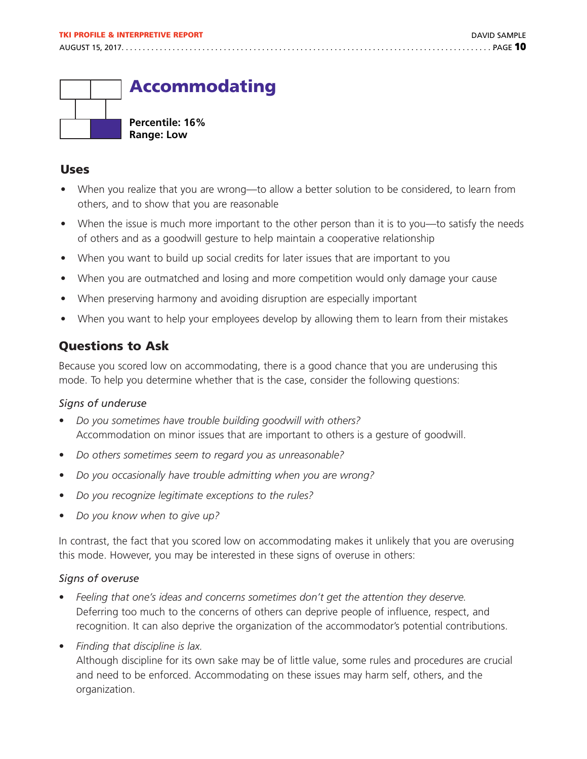# **Percentile: 16% Range: Low Accommodating**

## **Uses**

- When you realize that you are wrong—to allow a better solution to be considered, to learn from others, and to show that you are reasonable
- When the issue is much more important to the other person than it is to you—to satisfy the needs of others and as a goodwill gesture to help maintain a cooperative relationship
- When you want to build up social credits for later issues that are important to you
- When you are outmatched and losing and more competition would only damage your cause
- When preserving harmony and avoiding disruption are especially important
- When you want to help your employees develop by allowing them to learn from their mistakes

# **Questions to Ask**

Because you scored low on accommodating, there is a good chance that you are underusing this mode. To help you determine whether that is the case, consider the following questions:

#### *Signs of underuse*

- *Do you sometimes have trouble building goodwill with others?* Accommodation on minor issues that are important to others is a gesture of goodwill.
- *Do others sometimes seem to regard you as unreasonable?*
- *• Do you occasionally have trouble admitting when you are wrong?*
- *• Do you recognize legitimate exceptions to the rules?*
- *• Do you know when to give up?*

In contrast, the fact that you scored low on accommodating makes it unlikely that you are overusing this mode. However, you may be interested in these signs of overuse in others:

#### *Signs of overuse*

- *Feeling that one's ideas and concerns sometimes don't get the attention they deserve.* Deferring too much to the concerns of others can deprive people of influence, respect, and recognition. It can also deprive the organization of the accommodator's potential contributions.
- *Finding that discipline is lax.*

Although discipline for its own sake may be of little value, some rules and procedures are crucial and need to be enforced. Accommodating on these issues may harm self, others, and the organization.